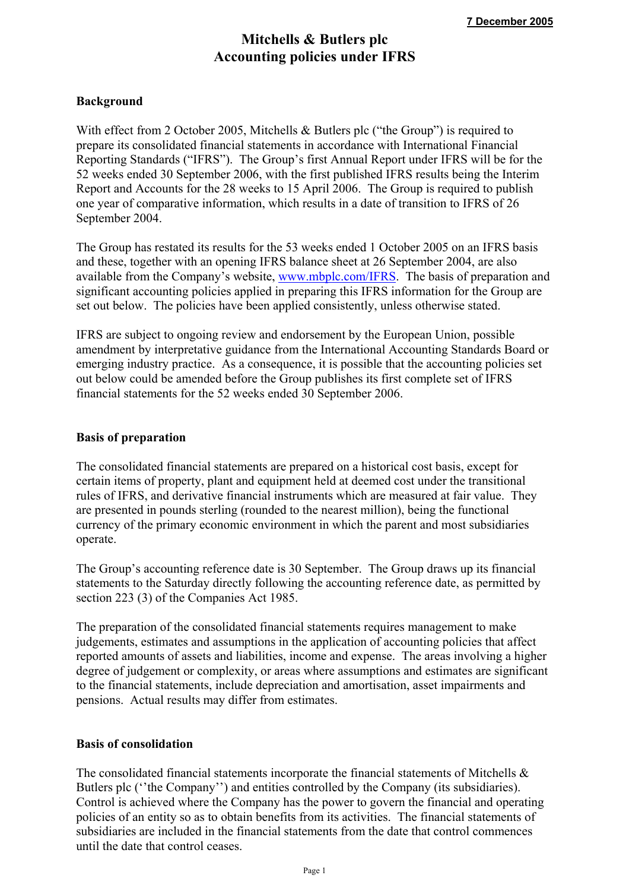# **Mitchells & Butlers plc Accounting policies under IFRS**

# **Background**

With effect from 2 October 2005, Mitchells & Butlers plc ("the Group") is required to prepare its consolidated financial statements in accordance with International Financial Reporting Standards ("IFRS"). The Group's first Annual Report under IFRS will be for the 52 weeks ended 30 September 2006, with the first published IFRS results being the Interim Report and Accounts for the 28 weeks to 15 April 2006. The Group is required to publish one year of comparative information, which results in a date of transition to IFRS of 26 September 2004.

The Group has restated its results for the 53 weeks ended 1 October 2005 on an IFRS basis and these, together with an opening IFRS balance sheet at 26 September 2004, are also available from the Company's website, www.mbplc.com/IFRS. The basis of preparation and significant accounting policies applied in preparing this IFRS information for the Group are set out below. The policies have been applied consistently, unless otherwise stated.

IFRS are subject to ongoing review and endorsement by the European Union, possible amendment by interpretative guidance from the International Accounting Standards Board or emerging industry practice. As a consequence, it is possible that the accounting policies set out below could be amended before the Group publishes its first complete set of IFRS financial statements for the 52 weeks ended 30 September 2006.

#### **Basis of preparation**

The consolidated financial statements are prepared on a historical cost basis, except for certain items of property, plant and equipment held at deemed cost under the transitional rules of IFRS, and derivative financial instruments which are measured at fair value. They are presented in pounds sterling (rounded to the nearest million), being the functional currency of the primary economic environment in which the parent and most subsidiaries operate.

The Group's accounting reference date is 30 September. The Group draws up its financial statements to the Saturday directly following the accounting reference date, as permitted by section 223 (3) of the Companies Act 1985.

The preparation of the consolidated financial statements requires management to make judgements, estimates and assumptions in the application of accounting policies that affect reported amounts of assets and liabilities, income and expense. The areas involving a higher degree of judgement or complexity, or areas where assumptions and estimates are significant to the financial statements, include depreciation and amortisation, asset impairments and pensions. Actual results may differ from estimates.

## **Basis of consolidation**

The consolidated financial statements incorporate the financial statements of Mitchells & Butlers plc (''the Company'') and entities controlled by the Company (its subsidiaries). Control is achieved where the Company has the power to govern the financial and operating policies of an entity so as to obtain benefits from its activities. The financial statements of subsidiaries are included in the financial statements from the date that control commences until the date that control ceases.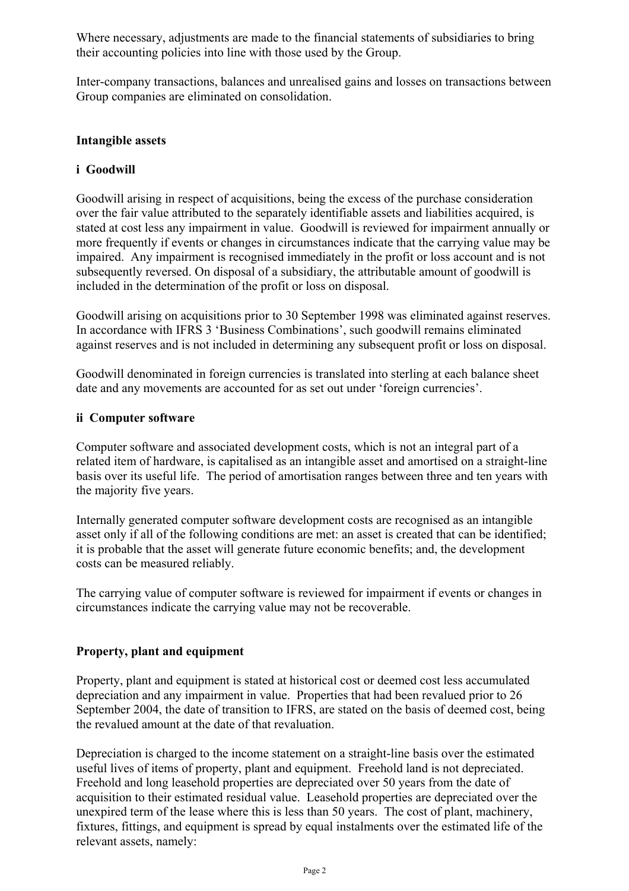Where necessary, adjustments are made to the financial statements of subsidiaries to bring their accounting policies into line with those used by the Group.

Inter-company transactions, balances and unrealised gains and losses on transactions between Group companies are eliminated on consolidation.

# **Intangible assets**

# **i Goodwill**

Goodwill arising in respect of acquisitions, being the excess of the purchase consideration over the fair value attributed to the separately identifiable assets and liabilities acquired, is stated at cost less any impairment in value. Goodwill is reviewed for impairment annually or more frequently if events or changes in circumstances indicate that the carrying value may be impaired. Any impairment is recognised immediately in the profit or loss account and is not subsequently reversed. On disposal of a subsidiary, the attributable amount of goodwill is included in the determination of the profit or loss on disposal.

Goodwill arising on acquisitions prior to 30 September 1998 was eliminated against reserves. In accordance with IFRS 3 'Business Combinations', such goodwill remains eliminated against reserves and is not included in determining any subsequent profit or loss on disposal.

Goodwill denominated in foreign currencies is translated into sterling at each balance sheet date and any movements are accounted for as set out under 'foreign currencies'.

## **ii Computer software**

Computer software and associated development costs, which is not an integral part of a related item of hardware, is capitalised as an intangible asset and amortised on a straight-line basis over its useful life. The period of amortisation ranges between three and ten years with the majority five years.

Internally generated computer software development costs are recognised as an intangible asset only if all of the following conditions are met: an asset is created that can be identified; it is probable that the asset will generate future economic benefits; and, the development costs can be measured reliably.

The carrying value of computer software is reviewed for impairment if events or changes in circumstances indicate the carrying value may not be recoverable.

## **Property, plant and equipment**

Property, plant and equipment is stated at historical cost or deemed cost less accumulated depreciation and any impairment in value. Properties that had been revalued prior to 26 September 2004, the date of transition to IFRS, are stated on the basis of deemed cost, being the revalued amount at the date of that revaluation.

Depreciation is charged to the income statement on a straight-line basis over the estimated useful lives of items of property, plant and equipment. Freehold land is not depreciated. Freehold and long leasehold properties are depreciated over 50 years from the date of acquisition to their estimated residual value. Leasehold properties are depreciated over the unexpired term of the lease where this is less than 50 years. The cost of plant, machinery, fixtures, fittings, and equipment is spread by equal instalments over the estimated life of the relevant assets, namely: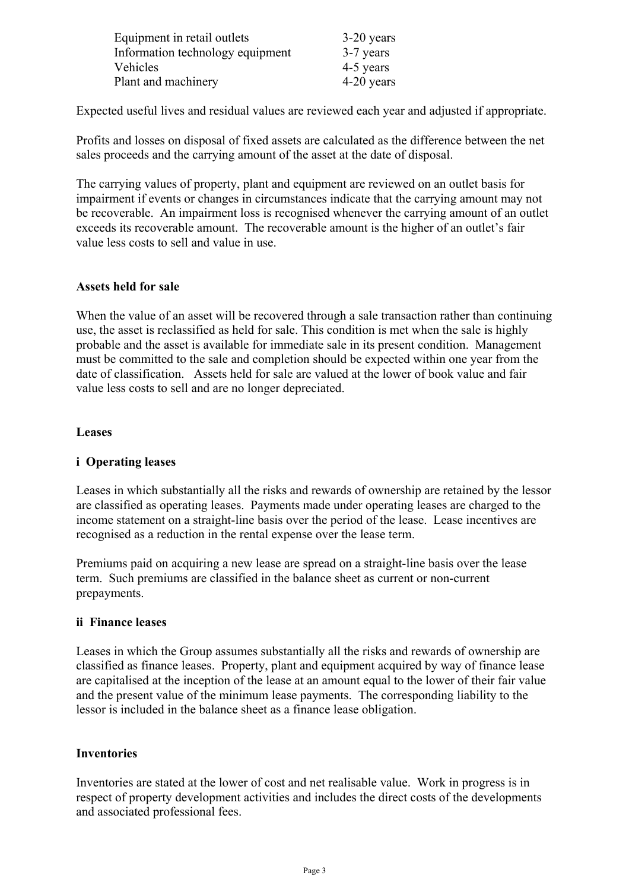| Equipment in retail outlets      | $3-20$ years |
|----------------------------------|--------------|
| Information technology equipment | 3-7 years    |
| Vehicles                         | 4-5 years    |
| Plant and machinery              | 4-20 years   |

Expected useful lives and residual values are reviewed each year and adjusted if appropriate.

Profits and losses on disposal of fixed assets are calculated as the difference between the net sales proceeds and the carrying amount of the asset at the date of disposal.

The carrying values of property, plant and equipment are reviewed on an outlet basis for impairment if events or changes in circumstances indicate that the carrying amount may not be recoverable. An impairment loss is recognised whenever the carrying amount of an outlet exceeds its recoverable amount. The recoverable amount is the higher of an outlet's fair value less costs to sell and value in use.

## **Assets held for sale**

When the value of an asset will be recovered through a sale transaction rather than continuing use, the asset is reclassified as held for sale. This condition is met when the sale is highly probable and the asset is available for immediate sale in its present condition. Management must be committed to the sale and completion should be expected within one year from the date of classification. Assets held for sale are valued at the lower of book value and fair value less costs to sell and are no longer depreciated.

## **Leases**

# **i Operating leases**

Leases in which substantially all the risks and rewards of ownership are retained by the lessor are classified as operating leases. Payments made under operating leases are charged to the income statement on a straight-line basis over the period of the lease. Lease incentives are recognised as a reduction in the rental expense over the lease term.

Premiums paid on acquiring a new lease are spread on a straight-line basis over the lease term. Such premiums are classified in the balance sheet as current or non-current prepayments.

# **ii Finance leases**

Leases in which the Group assumes substantially all the risks and rewards of ownership are classified as finance leases. Property, plant and equipment acquired by way of finance lease are capitalised at the inception of the lease at an amount equal to the lower of their fair value and the present value of the minimum lease payments. The corresponding liability to the lessor is included in the balance sheet as a finance lease obligation.

# **Inventories**

Inventories are stated at the lower of cost and net realisable value. Work in progress is in respect of property development activities and includes the direct costs of the developments and associated professional fees.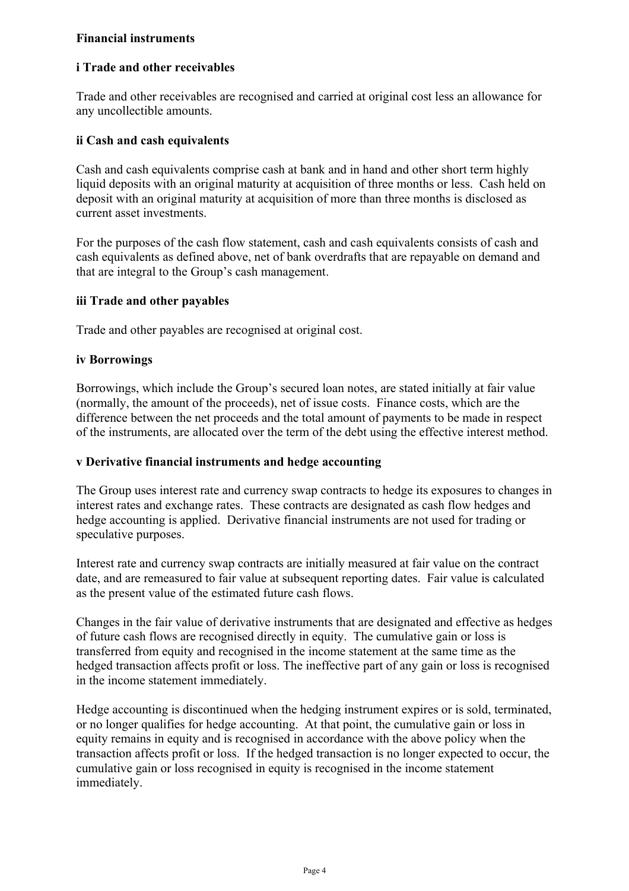# **Financial instruments**

# **i Trade and other receivables**

Trade and other receivables are recognised and carried at original cost less an allowance for any uncollectible amounts.

# **ii Cash and cash equivalents**

Cash and cash equivalents comprise cash at bank and in hand and other short term highly liquid deposits with an original maturity at acquisition of three months or less. Cash held on deposit with an original maturity at acquisition of more than three months is disclosed as current asset investments.

For the purposes of the cash flow statement, cash and cash equivalents consists of cash and cash equivalents as defined above, net of bank overdrafts that are repayable on demand and that are integral to the Group's cash management.

## **iii Trade and other payables**

Trade and other payables are recognised at original cost.

## **iv Borrowings**

Borrowings, which include the Group's secured loan notes, are stated initially at fair value (normally, the amount of the proceeds), net of issue costs. Finance costs, which are the difference between the net proceeds and the total amount of payments to be made in respect of the instruments, are allocated over the term of the debt using the effective interest method.

## **v Derivative financial instruments and hedge accounting**

The Group uses interest rate and currency swap contracts to hedge its exposures to changes in interest rates and exchange rates. These contracts are designated as cash flow hedges and hedge accounting is applied. Derivative financial instruments are not used for trading or speculative purposes.

Interest rate and currency swap contracts are initially measured at fair value on the contract date, and are remeasured to fair value at subsequent reporting dates. Fair value is calculated as the present value of the estimated future cash flows.

Changes in the fair value of derivative instruments that are designated and effective as hedges of future cash flows are recognised directly in equity. The cumulative gain or loss is transferred from equity and recognised in the income statement at the same time as the hedged transaction affects profit or loss. The ineffective part of any gain or loss is recognised in the income statement immediately.

Hedge accounting is discontinued when the hedging instrument expires or is sold, terminated, or no longer qualifies for hedge accounting. At that point, the cumulative gain or loss in equity remains in equity and is recognised in accordance with the above policy when the transaction affects profit or loss. If the hedged transaction is no longer expected to occur, the cumulative gain or loss recognised in equity is recognised in the income statement immediately.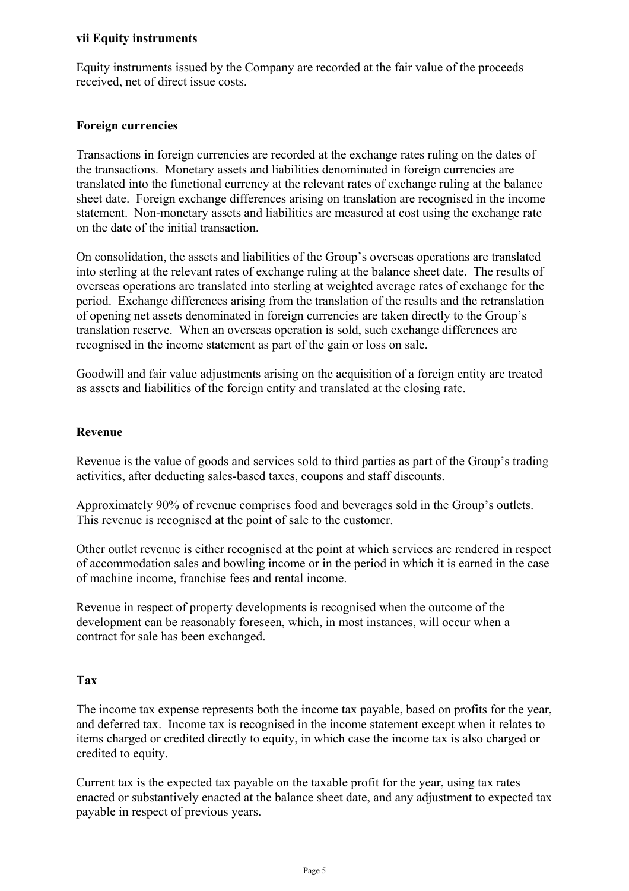## **vii Equity instruments**

Equity instruments issued by the Company are recorded at the fair value of the proceeds received, net of direct issue costs.

## **Foreign currencies**

Transactions in foreign currencies are recorded at the exchange rates ruling on the dates of the transactions. Monetary assets and liabilities denominated in foreign currencies are translated into the functional currency at the relevant rates of exchange ruling at the balance sheet date. Foreign exchange differences arising on translation are recognised in the income statement. Non-monetary assets and liabilities are measured at cost using the exchange rate on the date of the initial transaction.

On consolidation, the assets and liabilities of the Group's overseas operations are translated into sterling at the relevant rates of exchange ruling at the balance sheet date. The results of overseas operations are translated into sterling at weighted average rates of exchange for the period. Exchange differences arising from the translation of the results and the retranslation of opening net assets denominated in foreign currencies are taken directly to the Group's translation reserve. When an overseas operation is sold, such exchange differences are recognised in the income statement as part of the gain or loss on sale.

Goodwill and fair value adjustments arising on the acquisition of a foreign entity are treated as assets and liabilities of the foreign entity and translated at the closing rate.

## **Revenue**

Revenue is the value of goods and services sold to third parties as part of the Group's trading activities, after deducting sales-based taxes, coupons and staff discounts.

Approximately 90% of revenue comprises food and beverages sold in the Group's outlets. This revenue is recognised at the point of sale to the customer.

Other outlet revenue is either recognised at the point at which services are rendered in respect of accommodation sales and bowling income or in the period in which it is earned in the case of machine income, franchise fees and rental income.

Revenue in respect of property developments is recognised when the outcome of the development can be reasonably foreseen, which, in most instances, will occur when a contract for sale has been exchanged.

## **Tax**

The income tax expense represents both the income tax payable, based on profits for the year, and deferred tax. Income tax is recognised in the income statement except when it relates to items charged or credited directly to equity, in which case the income tax is also charged or credited to equity.

Current tax is the expected tax payable on the taxable profit for the year, using tax rates enacted or substantively enacted at the balance sheet date, and any adjustment to expected tax payable in respect of previous years.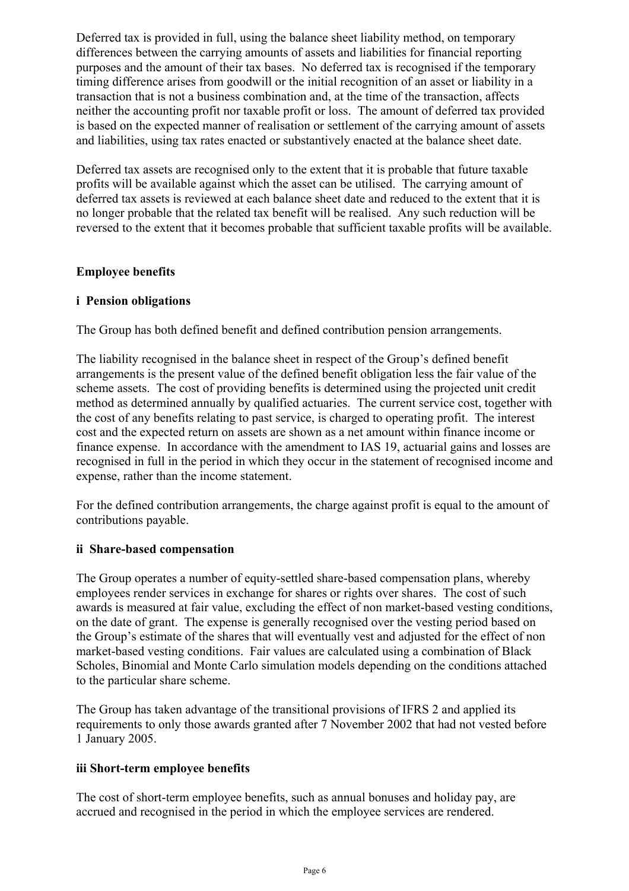Deferred tax is provided in full, using the balance sheet liability method, on temporary differences between the carrying amounts of assets and liabilities for financial reporting purposes and the amount of their tax bases. No deferred tax is recognised if the temporary timing difference arises from goodwill or the initial recognition of an asset or liability in a transaction that is not a business combination and, at the time of the transaction, affects neither the accounting profit nor taxable profit or loss. The amount of deferred tax provided is based on the expected manner of realisation or settlement of the carrying amount of assets and liabilities, using tax rates enacted or substantively enacted at the balance sheet date.

Deferred tax assets are recognised only to the extent that it is probable that future taxable profits will be available against which the asset can be utilised. The carrying amount of deferred tax assets is reviewed at each balance sheet date and reduced to the extent that it is no longer probable that the related tax benefit will be realised. Any such reduction will be reversed to the extent that it becomes probable that sufficient taxable profits will be available.

# **Employee benefits**

# **i Pension obligations**

The Group has both defined benefit and defined contribution pension arrangements.

The liability recognised in the balance sheet in respect of the Group's defined benefit arrangements is the present value of the defined benefit obligation less the fair value of the scheme assets. The cost of providing benefits is determined using the projected unit credit method as determined annually by qualified actuaries. The current service cost, together with the cost of any benefits relating to past service, is charged to operating profit. The interest cost and the expected return on assets are shown as a net amount within finance income or finance expense. In accordance with the amendment to IAS 19, actuarial gains and losses are recognised in full in the period in which they occur in the statement of recognised income and expense, rather than the income statement.

For the defined contribution arrangements, the charge against profit is equal to the amount of contributions payable.

# **ii Share-based compensation**

The Group operates a number of equity-settled share-based compensation plans, whereby employees render services in exchange for shares or rights over shares. The cost of such awards is measured at fair value, excluding the effect of non market-based vesting conditions, on the date of grant. The expense is generally recognised over the vesting period based on the Group's estimate of the shares that will eventually vest and adjusted for the effect of non market-based vesting conditions. Fair values are calculated using a combination of Black Scholes, Binomial and Monte Carlo simulation models depending on the conditions attached to the particular share scheme.

The Group has taken advantage of the transitional provisions of IFRS 2 and applied its requirements to only those awards granted after 7 November 2002 that had not vested before 1 January 2005.

## **iii Short-term employee benefits**

The cost of short-term employee benefits, such as annual bonuses and holiday pay, are accrued and recognised in the period in which the employee services are rendered.